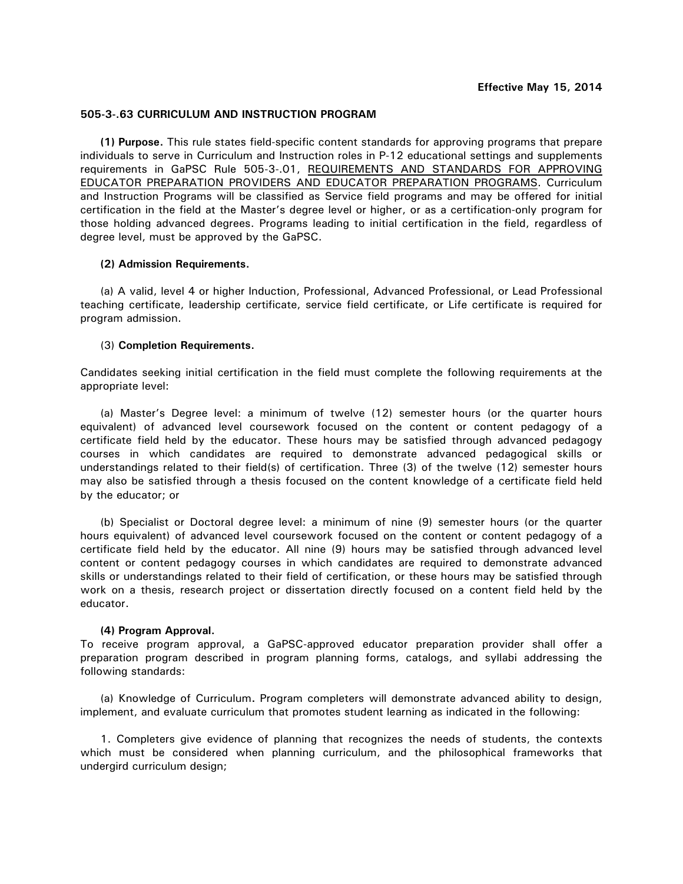## **505-3-.63 CURRICULUM AND INSTRUCTION PROGRAM**

**(1) Purpose.** This rule states field-specific content standards for approving programs that prepare individuals to serve in Curriculum and Instruction roles in P-12 educational settings and supplements requirements in GaPSC Rule 505-3-.01, REQUIREMENTS AND STANDARDS FOR APPROVING EDUCATOR PREPARATION PROVIDERS AND EDUCATOR PREPARATION PROGRAMS. Curriculum and Instruction Programs will be classified as Service field programs and may be offered for initial certification in the field at the Master's degree level or higher, or as a certification-only program for those holding advanced degrees. Programs leading to initial certification in the field, regardless of degree level, must be approved by the GaPSC.

## **(2) Admission Requirements.**

 (a) A valid, level 4 or higher Induction, Professional, Advanced Professional, or Lead Professional teaching certificate, leadership certificate, service field certificate, or Life certificate is required for program admission.

## (3) **Completion Requirements.**

Candidates seeking initial certification in the field must complete the following requirements at the appropriate level:

 (a) Master's Degree level: a minimum of twelve (12) semester hours (or the quarter hours equivalent) of advanced level coursework focused on the content or content pedagogy of a certificate field held by the educator. These hours may be satisfied through advanced pedagogy courses in which candidates are required to demonstrate advanced pedagogical skills or understandings related to their field(s) of certification. Three (3) of the twelve (12) semester hours may also be satisfied through a thesis focused on the content knowledge of a certificate field held by the educator; or

 (b) Specialist or Doctoral degree level: a minimum of nine (9) semester hours (or the quarter hours equivalent) of advanced level coursework focused on the content or content pedagogy of a certificate field held by the educator. All nine (9) hours may be satisfied through advanced level content or content pedagogy courses in which candidates are required to demonstrate advanced skills or understandings related to their field of certification, or these hours may be satisfied through work on a thesis, research project or dissertation directly focused on a content field held by the educator.

## **(4) Program Approval.**

To receive program approval, a GaPSC-approved educator preparation provider shall offer a preparation program described in program planning forms, catalogs, and syllabi addressing the following standards:

 (a) Knowledge of Curriculum**.** Program completers will demonstrate advanced ability to design, implement, and evaluate curriculum that promotes student learning as indicated in the following:

 1. Completers give evidence of planning that recognizes the needs of students, the contexts which must be considered when planning curriculum, and the philosophical frameworks that undergird curriculum design;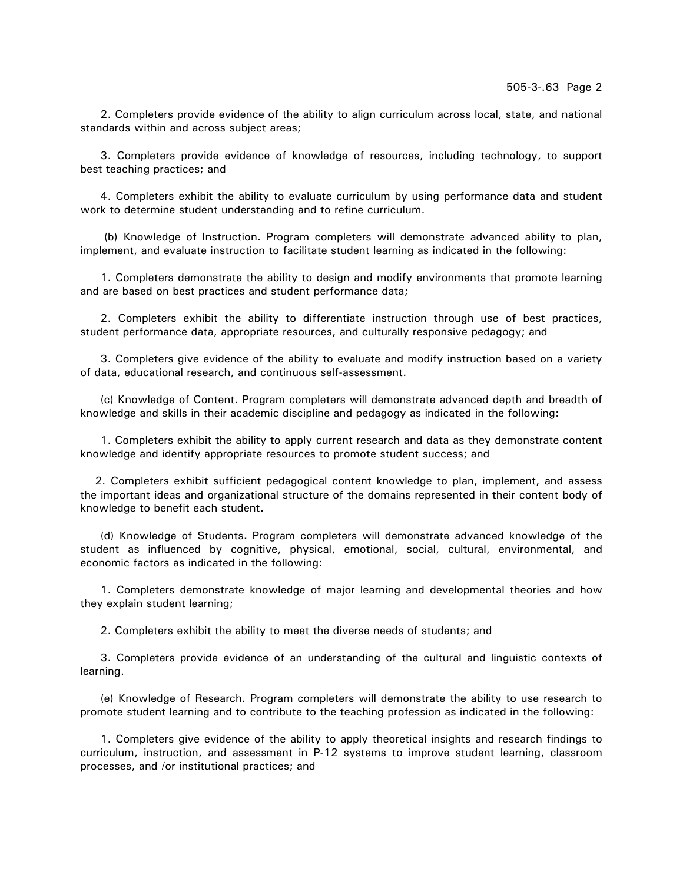2. Completers provide evidence of the ability to align curriculum across local, state, and national standards within and across subject areas;

 3. Completers provide evidence of knowledge of resources, including technology, to support best teaching practices; and

 4. Completers exhibit the ability to evaluate curriculum by using performance data and student work to determine student understanding and to refine curriculum.

 (b) Knowledge of Instruction. Program completers will demonstrate advanced ability to plan, implement, and evaluate instruction to facilitate student learning as indicated in the following:

 1. Completers demonstrate the ability to design and modify environments that promote learning and are based on best practices and student performance data;

 2. Completers exhibit the ability to differentiate instruction through use of best practices, student performance data, appropriate resources, and culturally responsive pedagogy; and

 3. Completers give evidence of the ability to evaluate and modify instruction based on a variety of data, educational research, and continuous self-assessment.

 (c) Knowledge of Content. Program completers will demonstrate advanced depth and breadth of knowledge and skills in their academic discipline and pedagogy as indicated in the following:

 1. Completers exhibit the ability to apply current research and data as they demonstrate content knowledge and identify appropriate resources to promote student success; and

 2. Completers exhibit sufficient pedagogical content knowledge to plan, implement, and assess the important ideas and organizational structure of the domains represented in their content body of knowledge to benefit each student.

 (d) Knowledge of Students**.** Program completers will demonstrate advanced knowledge of the student as influenced by cognitive, physical, emotional, social, cultural, environmental, and economic factors as indicated in the following:

 1. Completers demonstrate knowledge of major learning and developmental theories and how they explain student learning;

2. Completers exhibit the ability to meet the diverse needs of students; and

 3. Completers provide evidence of an understanding of the cultural and linguistic contexts of learning.

 (e) Knowledge of Research. Program completers will demonstrate the ability to use research to promote student learning and to contribute to the teaching profession as indicated in the following:

 1. Completers give evidence of the ability to apply theoretical insights and research findings to curriculum, instruction, and assessment in P-12 systems to improve student learning, classroom processes, and /or institutional practices; and